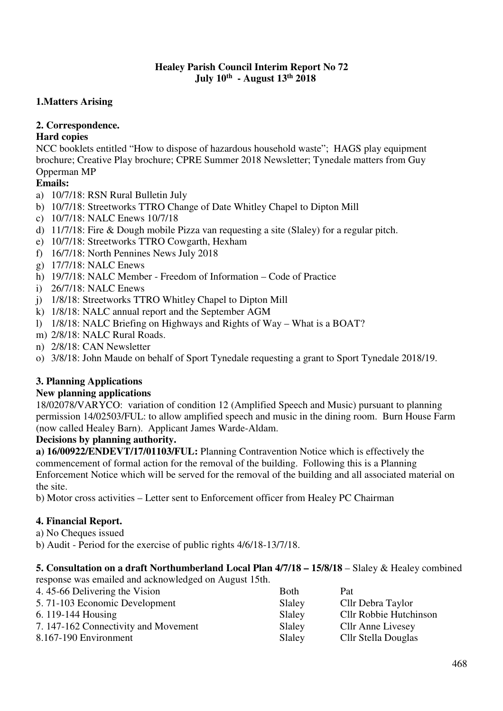### **Healey Parish Council Interim Report No 72 July 10th - August 13th 2018**

## **1.Matters Arising**

## **2. Correspondence.**

# **Hard copies**

NCC booklets entitled "How to dispose of hazardous household waste"; HAGS play equipment brochure; Creative Play brochure; CPRE Summer 2018 Newsletter; Tynedale matters from Guy Opperman MP

# **Emails:**

- a) 10/7/18: RSN Rural Bulletin July
- b) 10/7/18: Streetworks TTRO Change of Date Whitley Chapel to Dipton Mill
- c) 10/7/18: NALC Enews 10/7/18
- d) 11/7/18: Fire & Dough mobile Pizza van requesting a site (Slaley) for a regular pitch.
- e) 10/7/18: Streetworks TTRO Cowgarth, Hexham
- f) 16/7/18: North Pennines News July 2018
- g) 17/7/18: NALC Enews
- h) 19/7/18: NALC Member Freedom of Information Code of Practice
- i) 26/7/18: NALC Enews
- j) 1/8/18: Streetworks TTRO Whitley Chapel to Dipton Mill
- k) 1/8/18: NALC annual report and the September AGM
- l) 1/8/18: NALC Briefing on Highways and Rights of Way What is a BOAT?
- m) 2/8/18: NALC Rural Roads.
- n) 2/8/18: CAN Newsletter
- o) 3/8/18: John Maude on behalf of Sport Tynedale requesting a grant to Sport Tynedale 2018/19.

## **3. Planning Applications**

### **New planning applications**

18/02078/VARYCO: variation of condition 12 (Amplified Speech and Music) pursuant to planning permission 14/02503/FUL: to allow amplified speech and music in the dining room. Burn House Farm (now called Healey Barn). Applicant James Warde-Aldam.

## **Decisions by planning authority.**

**a) 16/00922/ENDEVT/17/01103/FUL:** Planning Contravention Notice which is effectively the commencement of formal action for the removal of the building. Following this is a Planning Enforcement Notice which will be served for the removal of the building and all associated material on the site.

b) Motor cross activities – Letter sent to Enforcement officer from Healey PC Chairman

## **4. Financial Report.**

a) No Cheques issued

b) Audit - Period for the exercise of public rights 4/6/18-13/7/18.

### **5. Consultation on a draft Northumberland Local Plan 4/7/18 – 15/8/18** – Slaley & Healey combined

response was emailed and acknowledged on August 15th.

| 4.45-66 Delivering the Vision        | Both   | Pat                      |
|--------------------------------------|--------|--------------------------|
| 5.71-103 Economic Development        | Slaley | Cllr Debra Taylor        |
| 6. $119-144$ Housing                 | Slaley | Cllr Robbie Hutchinson   |
| 7. 147-162 Connectivity and Movement | Slaley | <b>Cllr Anne Livesey</b> |
| 8.167-190 Environment                | Slaley | Cllr Stella Douglas      |